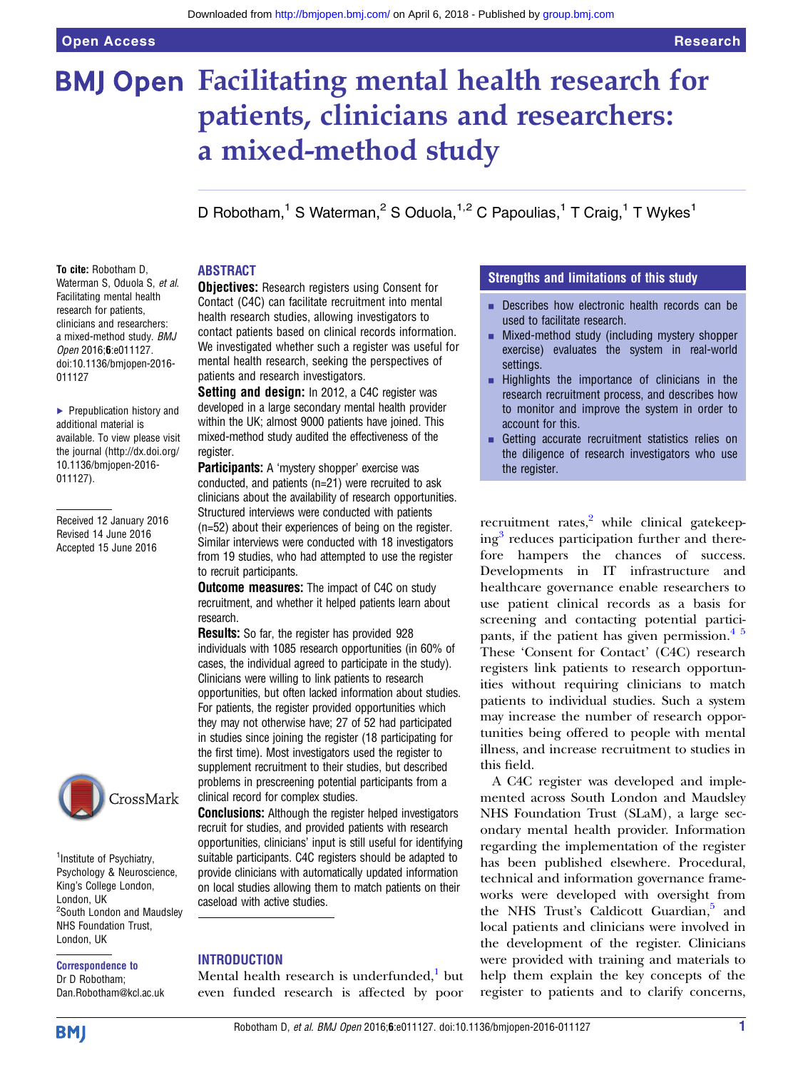# **BMJ Open Facilitating mental health research for** patients, clinicians and researchers: a mixed-method study

D Robotham,<sup>1</sup> S Waterman,<sup>2</sup> S Oduola,<sup>1,2</sup> C Papoulias,<sup>1</sup> T Craig,<sup>1</sup> T Wykes<sup>1</sup>

# ABSTRACT

To cite: Robotham D, Waterman S, Oduola S, et al. Facilitating mental health research for patients, clinicians and researchers: a mixed-method study. BMJ Open 2016;6:e011127. doi:10.1136/bmjopen-2016- 011127

▶ Prepublication history and additional material is available. To view please visit the journal [\(http://dx.doi.org/](http://dx.doi.org/10.1136/bmjopen-2016-011127) [10.1136/bmjopen-2016-](http://dx.doi.org/10.1136/bmjopen-2016-011127) [011127\)](http://dx.doi.org/10.1136/bmjopen-2016-011127).

Received 12 January 2016 Revised 14 June 2016 Accepted 15 June 2016



<sup>1</sup> Institute of Psychiatry, Psychology & Neuroscience, King's College London, London, UK <sup>2</sup>South London and Maudsley NHS Foundation Trust, London, UK

Correspondence to Dr D Robotham; Dan.Robotham@kcl.ac.uk **Objectives:** Research registers using Consent for Contact (C4C) can facilitate recruitment into mental health research studies, allowing investigators to contact patients based on clinical records information. We investigated whether such a register was useful for mental health research, seeking the perspectives of patients and research investigators.

Setting and design: In 2012, a C4C register was developed in a large secondary mental health provider within the UK; almost 9000 patients have joined. This mixed-method study audited the effectiveness of the register.

Participants: A 'mystery shopper' exercise was conducted, and patients (n=21) were recruited to ask clinicians about the availability of research opportunities. Structured interviews were conducted with patients (n=52) about their experiences of being on the register. Similar interviews were conducted with 18 investigators from 19 studies, who had attempted to use the register to recruit participants.

**Outcome measures:** The impact of C4C on study recruitment, and whether it helped patients learn about research.

**Results:** So far, the register has provided 928 individuals with 1085 research opportunities (in 60% of cases, the individual agreed to participate in the study). Clinicians were willing to link patients to research opportunities, but often lacked information about studies. For patients, the register provided opportunities which they may not otherwise have; 27 of 52 had participated in studies since joining the register (18 participating for the first time). Most investigators used the register to supplement recruitment to their studies, but described problems in prescreening potential participants from a clinical record for complex studies.

**Conclusions:** Although the register helped investigators recruit for studies, and provided patients with research opportunities, clinicians' input is still useful for identifying suitable participants. C4C registers should be adapted to provide clinicians with automatically updated information on local studies allowing them to match patients on their caseload with active studies.

# **INTRODUCTION**

Mental health research is underfunded, $\frac{1}{1}$  but even funded research is affected by poor

#### Strengths and limitations of this study

- **EXECUTE:** Describes how electronic health records can be used to facilitate research.
- Mixed-method study (including mystery shopper exercise) evaluates the system in real-world settings.
- $\blacksquare$  Highlights the importance of clinicians in the research recruitment process, and describes how to monitor and improve the system in order to account for this.
- Getting accurate recruitment statistics relies on the diligence of research investigators who use the register.

recruitment rates, $2$  while clinical gatekeep-ing<sup>[3](#page-5-0)</sup> reduces participation further and therefore hampers the chances of success. Developments in IT infrastructure and healthcare governance enable researchers to use patient clinical records as a basis for screening and contacting potential participants, if the patient has given permission.<sup>45</sup> These 'Consent for Contact' (C4C) research registers link patients to research opportunities without requiring clinicians to match patients to individual studies. Such a system may increase the number of research opportunities being offered to people with mental illness, and increase recruitment to studies in this field.

A C4C register was developed and implemented across South London and Maudsley NHS Foundation Trust (SLaM), a large secondary mental health provider. Information regarding the implementation of the register has been published elsewhere. Procedural, technical and information governance frameworks were developed with oversight from the NHS Trust's Caldicott Guardian,<sup>[5](#page-5-0)</sup> and local patients and clinicians were involved in the development of the register. Clinicians were provided with training and materials to help them explain the key concepts of the register to patients and to clarify concerns,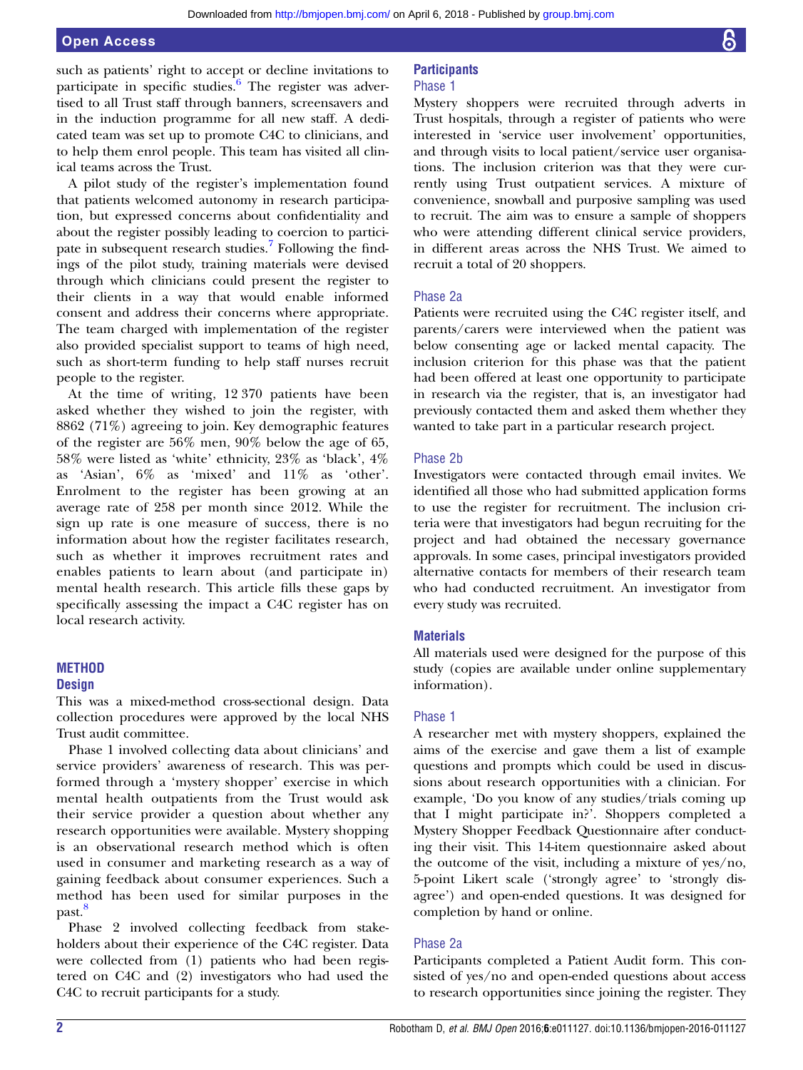such as patients' right to accept or decline invitations to participate in specific studies. $\frac{6}{5}$  $\frac{6}{5}$  $\frac{6}{5}$  The register was advertised to all Trust staff through banners, screensavers and in the induction programme for all new staff. A dedicated team was set up to promote C4C to clinicians, and to help them enrol people. This team has visited all clinical teams across the Trust.

A pilot study of the register's implementation found that patients welcomed autonomy in research participation, but expressed concerns about confidentiality and about the register possibly leading to coercion to participate in subsequent research studies.[7](#page-5-0) Following the findings of the pilot study, training materials were devised through which clinicians could present the register to their clients in a way that would enable informed consent and address their concerns where appropriate. The team charged with implementation of the register also provided specialist support to teams of high need, such as short-term funding to help staff nurses recruit people to the register.

At the time of writing, 12 370 patients have been asked whether they wished to join the register, with 8862 (71%) agreeing to join. Key demographic features of the register are 56% men, 90% below the age of 65, 58% were listed as 'white' ethnicity, 23% as 'black', 4% as 'Asian', 6% as 'mixed' and 11% as 'other'. Enrolment to the register has been growing at an average rate of 258 per month since 2012. While the sign up rate is one measure of success, there is no information about how the register facilitates research, such as whether it improves recruitment rates and enables patients to learn about (and participate in) mental health research. This article fills these gaps by specifically assessing the impact a C4C register has on local research activity.

#### **METHOD Design**

This was a mixed-method cross-sectional design. Data collection procedures were approved by the local NHS Trust audit committee.

Phase 1 involved collecting data about clinicians' and service providers' awareness of research. This was performed through a 'mystery shopper' exercise in which mental health outpatients from the Trust would ask their service provider a question about whether any research opportunities were available. Mystery shopping is an observational research method which is often used in consumer and marketing research as a way of gaining feedback about consumer experiences. Such a method has been used for similar purposes in the past.<sup>[8](#page-5-0)</sup>

Phase 2 involved collecting feedback from stakeholders about their experience of the C4C register. Data were collected from (1) patients who had been registered on C4C and (2) investigators who had used the C4C to recruit participants for a study.

# **Participants**

## Phase 1

Mystery shoppers were recruited through adverts in Trust hospitals, through a register of patients who were interested in 'service user involvement' opportunities, and through visits to local patient/service user organisations. The inclusion criterion was that they were currently using Trust outpatient services. A mixture of convenience, snowball and purposive sampling was used to recruit. The aim was to ensure a sample of shoppers who were attending different clinical service providers, in different areas across the NHS Trust. We aimed to recruit a total of 20 shoppers.

## Phase 2a

Patients were recruited using the C4C register itself, and parents/carers were interviewed when the patient was below consenting age or lacked mental capacity. The inclusion criterion for this phase was that the patient had been offered at least one opportunity to participate in research via the register, that is, an investigator had previously contacted them and asked them whether they wanted to take part in a particular research project.

# Phase 2b

Investigators were contacted through email invites. We identified all those who had submitted application forms to use the register for recruitment. The inclusion criteria were that investigators had begun recruiting for the project and had obtained the necessary governance approvals. In some cases, principal investigators provided alternative contacts for members of their research team who had conducted recruitment. An investigator from every study was recruited.

# **Materials**

All materials used were designed for the purpose of this study (copies are available under online supplementary information).

# Phase 1

A researcher met with mystery shoppers, explained the aims of the exercise and gave them a list of example questions and prompts which could be used in discussions about research opportunities with a clinician. For example, 'Do you know of any studies/trials coming up that I might participate in?'. Shoppers completed a Mystery Shopper Feedback Questionnaire after conducting their visit. This 14-item questionnaire asked about the outcome of the visit, including a mixture of yes/no, 5-point Likert scale ('strongly agree' to 'strongly disagree') and open-ended questions. It was designed for completion by hand or online.

# Phase 2a

Participants completed a Patient Audit form. This consisted of yes/no and open-ended questions about access to research opportunities since joining the register. They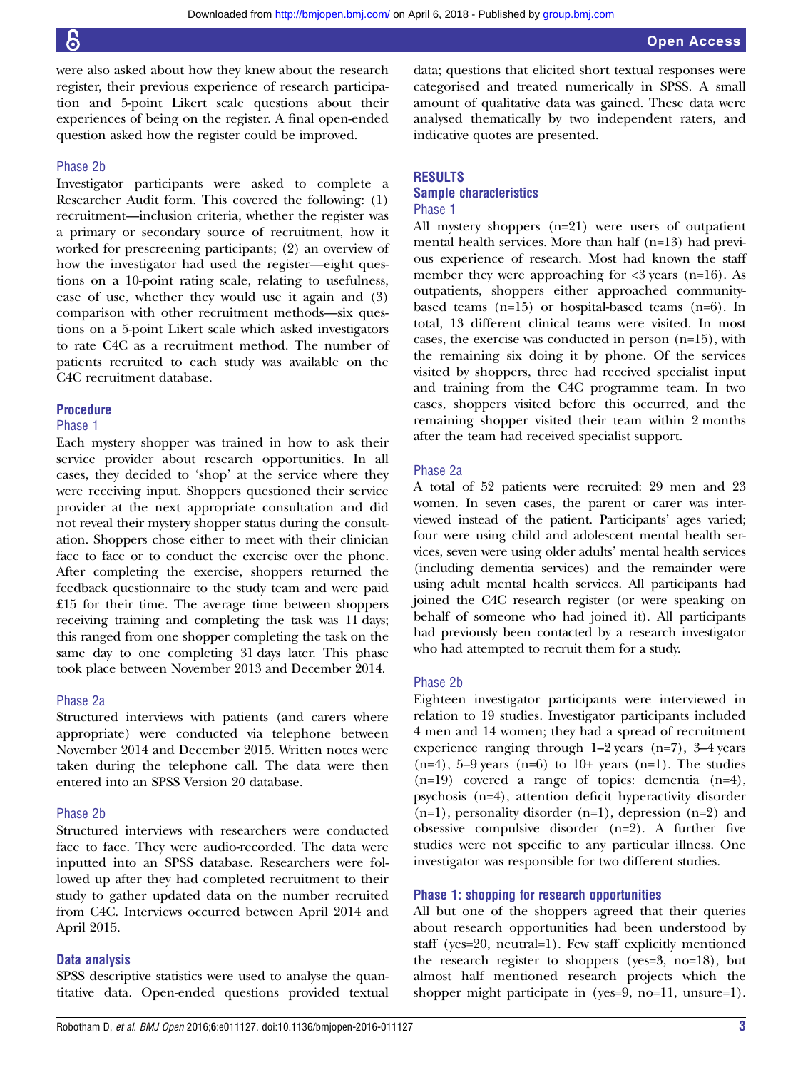were also asked about how they knew about the research register, their previous experience of research participation and 5-point Likert scale questions about their experiences of being on the register. A final open-ended question asked how the register could be improved.

#### Phase 2b

Investigator participants were asked to complete a Researcher Audit form. This covered the following: (1) recruitment—inclusion criteria, whether the register was a primary or secondary source of recruitment, how it worked for prescreening participants; (2) an overview of how the investigator had used the register—eight questions on a 10-point rating scale, relating to usefulness, ease of use, whether they would use it again and (3) comparison with other recruitment methods—six questions on a 5-point Likert scale which asked investigators to rate C4C as a recruitment method. The number of patients recruited to each study was available on the C4C recruitment database.

#### Procedure

#### Phase 1

Each mystery shopper was trained in how to ask their service provider about research opportunities. In all cases, they decided to 'shop' at the service where they were receiving input. Shoppers questioned their service provider at the next appropriate consultation and did not reveal their mystery shopper status during the consultation. Shoppers chose either to meet with their clinician face to face or to conduct the exercise over the phone. After completing the exercise, shoppers returned the feedback questionnaire to the study team and were paid £15 for their time. The average time between shoppers receiving training and completing the task was 11 days; this ranged from one shopper completing the task on the same day to one completing 31 days later. This phase took place between November 2013 and December 2014.

#### Phase 2a

Structured interviews with patients (and carers where appropriate) were conducted via telephone between November 2014 and December 2015. Written notes were taken during the telephone call. The data were then entered into an SPSS Version 20 database.

#### Phase 2b

Structured interviews with researchers were conducted face to face. They were audio-recorded. The data were inputted into an SPSS database. Researchers were followed up after they had completed recruitment to their study to gather updated data on the number recruited from C4C. Interviews occurred between April 2014 and April 2015.

#### Data analysis

SPSS descriptive statistics were used to analyse the quantitative data. Open-ended questions provided textual

data; questions that elicited short textual responses were categorised and treated numerically in SPSS. A small amount of qualitative data was gained. These data were analysed thematically by two independent raters, and indicative quotes are presented.

#### RESULTS Sample characteristics Phase 1

All mystery shoppers (n=21) were users of outpatient mental health services. More than half (n=13) had previous experience of research. Most had known the staff member they were approaching for  $\langle 3 \rangle$  years (n=16). As outpatients, shoppers either approached communitybased teams (n=15) or hospital-based teams (n=6). In total, 13 different clinical teams were visited. In most cases, the exercise was conducted in person (n=15), with the remaining six doing it by phone. Of the services visited by shoppers, three had received specialist input and training from the C4C programme team. In two cases, shoppers visited before this occurred, and the remaining shopper visited their team within 2 months after the team had received specialist support.

## Phase 2a

A total of 52 patients were recruited: 29 men and 23 women. In seven cases, the parent or carer was interviewed instead of the patient. Participants' ages varied; four were using child and adolescent mental health services, seven were using older adults' mental health services (including dementia services) and the remainder were using adult mental health services. All participants had joined the C4C research register (or were speaking on behalf of someone who had joined it). All participants had previously been contacted by a research investigator who had attempted to recruit them for a study.

#### Phase 2b

Eighteen investigator participants were interviewed in relation to 19 studies. Investigator participants included 4 men and 14 women; they had a spread of recruitment experience ranging through  $1-2$  years (n=7), 3-4 years  $(n=4)$ , 5–9 years  $(n=6)$  to 10+ years  $(n=1)$ . The studies (n=19) covered a range of topics: dementia (n=4), psychosis (n=4), attention deficit hyperactivity disorder (n=1), personality disorder (n=1), depression (n=2) and obsessive compulsive disorder (n=2). A further five studies were not specific to any particular illness. One investigator was responsible for two different studies.

#### Phase 1: shopping for research opportunities

All but one of the shoppers agreed that their queries about research opportunities had been understood by staff (yes=20, neutral=1). Few staff explicitly mentioned the research register to shoppers (yes=3, no=18), but almost half mentioned research projects which the shopper might participate in (yes=9, no=11, unsure=1).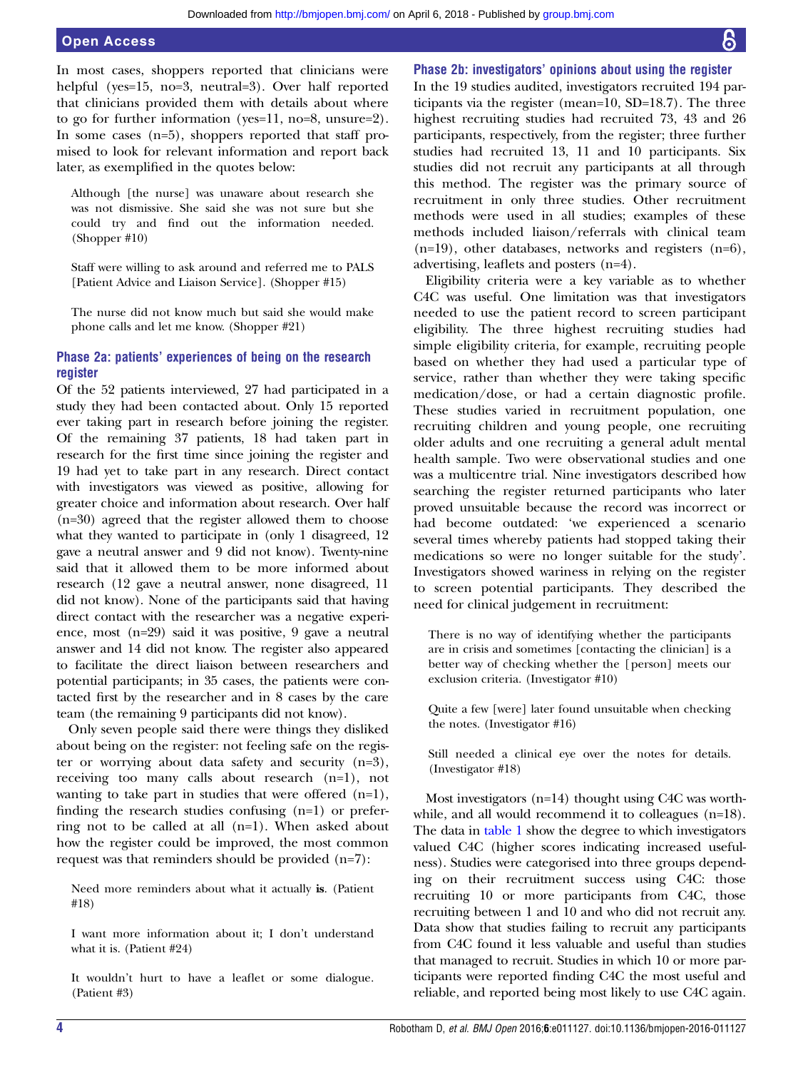In most cases, shoppers reported that clinicians were helpful (yes=15, no=3, neutral=3). Over half reported that clinicians provided them with details about where to go for further information (yes=11, no=8, unsure=2). In some cases (n=5), shoppers reported that staff promised to look for relevant information and report back later, as exemplified in the quotes below:

Although [the nurse] was unaware about research she was not dismissive. She said she was not sure but she could try and find out the information needed. (Shopper #10)

Staff were willing to ask around and referred me to PALS [Patient Advice and Liaison Service]. (Shopper #15)

The nurse did not know much but said she would make phone calls and let me know. (Shopper #21)

#### Phase 2a: patients' experiences of being on the research register

Of the 52 patients interviewed, 27 had participated in a study they had been contacted about. Only 15 reported ever taking part in research before joining the register. Of the remaining 37 patients, 18 had taken part in research for the first time since joining the register and 19 had yet to take part in any research. Direct contact with investigators was viewed as positive, allowing for greater choice and information about research. Over half (n=30) agreed that the register allowed them to choose what they wanted to participate in (only 1 disagreed, 12 gave a neutral answer and 9 did not know). Twenty-nine said that it allowed them to be more informed about research (12 gave a neutral answer, none disagreed, 11 did not know). None of the participants said that having direct contact with the researcher was a negative experience, most (n=29) said it was positive, 9 gave a neutral answer and 14 did not know. The register also appeared to facilitate the direct liaison between researchers and potential participants; in 35 cases, the patients were contacted first by the researcher and in 8 cases by the care team (the remaining 9 participants did not know).

Only seven people said there were things they disliked about being on the register: not feeling safe on the register or worrying about data safety and security (n=3), receiving too many calls about research (n=1), not wanting to take part in studies that were offered (n=1), finding the research studies confusing (n=1) or preferring not to be called at all (n=1). When asked about how the register could be improved, the most common request was that reminders should be provided (n=7):

Need more reminders about what it actually is. (Patient #18)

I want more information about it; I don't understand what it is. (Patient #24)

It wouldn't hurt to have a leaflet or some dialogue. (Patient #3)

Phase 2b: investigators' opinions about using the register In the 19 studies audited, investigators recruited 194 participants via the register (mean=10, SD=18.7). The three highest recruiting studies had recruited 73, 43 and 26 participants, respectively, from the register; three further studies had recruited 13, 11 and 10 participants. Six studies did not recruit any participants at all through this method. The register was the primary source of recruitment in only three studies. Other recruitment methods were used in all studies; examples of these methods included liaison/referrals with clinical team (n=19), other databases, networks and registers (n=6), advertising, leaflets and posters (n=4).

Eligibility criteria were a key variable as to whether C4C was useful. One limitation was that investigators needed to use the patient record to screen participant eligibility. The three highest recruiting studies had simple eligibility criteria, for example, recruiting people based on whether they had used a particular type of service, rather than whether they were taking specific medication/dose, or had a certain diagnostic profile. These studies varied in recruitment population, one recruiting children and young people, one recruiting older adults and one recruiting a general adult mental health sample. Two were observational studies and one was a multicentre trial. Nine investigators described how searching the register returned participants who later proved unsuitable because the record was incorrect or had become outdated: 'we experienced a scenario several times whereby patients had stopped taking their medications so were no longer suitable for the study'. Investigators showed wariness in relying on the register to screen potential participants. They described the need for clinical judgement in recruitment:

There is no way of identifying whether the participants are in crisis and sometimes [contacting the clinician] is a better way of checking whether the [person] meets our exclusion criteria. (Investigator #10)

Quite a few [were] later found unsuitable when checking the notes. (Investigator #16)

Still needed a clinical eye over the notes for details. (Investigator #18)

Most investigators (n=14) thought using C4C was worthwhile, and all would recommend it to colleagues (n=18). The data in [table 1](#page-4-0) show the degree to which investigators valued C4C (higher scores indicating increased usefulness). Studies were categorised into three groups depending on their recruitment success using C4C: those recruiting 10 or more participants from C4C, those recruiting between 1 and 10 and who did not recruit any. Data show that studies failing to recruit any participants from C4C found it less valuable and useful than studies that managed to recruit. Studies in which 10 or more participants were reported finding C4C the most useful and reliable, and reported being most likely to use C4C again.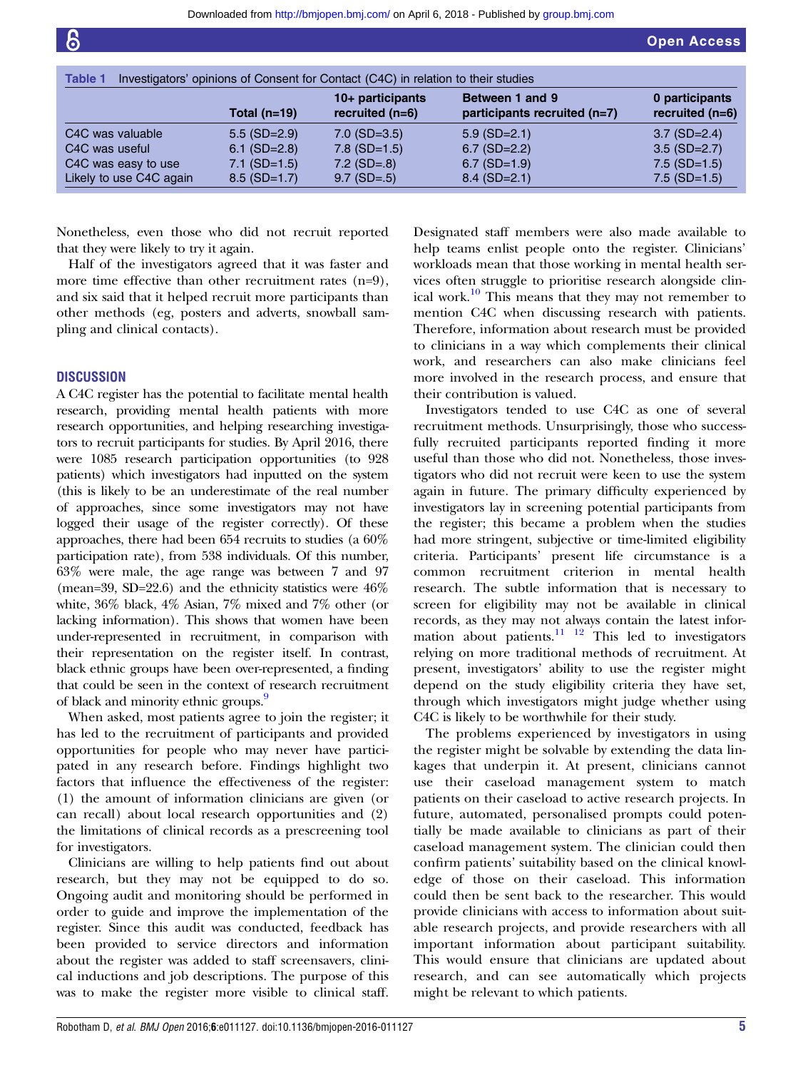<span id="page-4-0"></span>

| Investigators' opinions of Consent for Contact (C4C) in relation to their studies<br>Table 1 |                |                                       |                                                 |                                     |  |
|----------------------------------------------------------------------------------------------|----------------|---------------------------------------|-------------------------------------------------|-------------------------------------|--|
|                                                                                              | Total $(n=19)$ | 10+ participants<br>recruited $(n=6)$ | Between 1 and 9<br>participants recruited (n=7) | 0 participants<br>recruited $(n=6)$ |  |
| C <sub>4</sub> C was valuable                                                                | $5.5$ (SD=2.9) | $7.0$ (SD=3.5)                        | $5.9$ (SD=2.1)                                  | $3.7$ (SD=2.4)                      |  |
| C4C was useful                                                                               | $6.1$ (SD=2.8) | $7.8$ (SD=1.5)                        | $6.7$ (SD=2.2)                                  | $3.5$ (SD=2.7)                      |  |
| C4C was easy to use                                                                          | $7.1$ (SD=1.5) | $7.2$ (SD=.8)                         | $6.7$ (SD=1.9)                                  | $7.5$ (SD=1.5)                      |  |
| Likely to use C4C again                                                                      | $8.5$ (SD=1.7) | $9.7$ (SD=.5)                         | $8.4$ (SD=2.1)                                  | $7.5$ (SD=1.5)                      |  |

Nonetheless, even those who did not recruit reported that they were likely to try it again.

Half of the investigators agreed that it was faster and more time effective than other recruitment rates (n=9), and six said that it helped recruit more participants than other methods (eg, posters and adverts, snowball sampling and clinical contacts).

#### **DISCUSSION**

A C4C register has the potential to facilitate mental health research, providing mental health patients with more research opportunities, and helping researching investigators to recruit participants for studies. By April 2016, there were 1085 research participation opportunities (to 928 patients) which investigators had inputted on the system (this is likely to be an underestimate of the real number of approaches, since some investigators may not have logged their usage of the register correctly). Of these approaches, there had been 654 recruits to studies (a 60% participation rate), from 538 individuals. Of this number, 63% were male, the age range was between 7 and 97 (mean=39, SD=22.6) and the ethnicity statistics were  $46\%$ white, 36% black, 4% Asian, 7% mixed and 7% other (or lacking information). This shows that women have been under-represented in recruitment, in comparison with their representation on the register itself. In contrast, black ethnic groups have been over-represented, a finding that could be seen in the context of research recruitment of black and minority ethnic groups.<sup>[9](#page-5-0)</sup>

When asked, most patients agree to join the register; it has led to the recruitment of participants and provided opportunities for people who may never have participated in any research before. Findings highlight two factors that influence the effectiveness of the register: (1) the amount of information clinicians are given (or can recall) about local research opportunities and (2) the limitations of clinical records as a prescreening tool for investigators.

Clinicians are willing to help patients find out about research, but they may not be equipped to do so. Ongoing audit and monitoring should be performed in order to guide and improve the implementation of the register. Since this audit was conducted, feedback has been provided to service directors and information about the register was added to staff screensavers, clinical inductions and job descriptions. The purpose of this was to make the register more visible to clinical staff.

Designated staff members were also made available to help teams enlist people onto the register. Clinicians' workloads mean that those working in mental health services often struggle to prioritise research alongside clin-ical work.<sup>[10](#page-5-0)</sup> This means that they may not remember to mention C4C when discussing research with patients. Therefore, information about research must be provided to clinicians in a way which complements their clinical work, and researchers can also make clinicians feel more involved in the research process, and ensure that their contribution is valued.

Open Access

Investigators tended to use C4C as one of several recruitment methods. Unsurprisingly, those who successfully recruited participants reported finding it more useful than those who did not. Nonetheless, those investigators who did not recruit were keen to use the system again in future. The primary difficulty experienced by investigators lay in screening potential participants from the register; this became a problem when the studies had more stringent, subjective or time-limited eligibility criteria. Participants' present life circumstance is a common recruitment criterion in mental health research. The subtle information that is necessary to screen for eligibility may not be available in clinical records, as they may not always contain the latest information about patients. $11^{11}$  This led to investigators relying on more traditional methods of recruitment. At present, investigators' ability to use the register might depend on the study eligibility criteria they have set, through which investigators might judge whether using C4C is likely to be worthwhile for their study.

The problems experienced by investigators in using the register might be solvable by extending the data linkages that underpin it. At present, clinicians cannot use their caseload management system to match patients on their caseload to active research projects. In future, automated, personalised prompts could potentially be made available to clinicians as part of their caseload management system. The clinician could then confirm patients' suitability based on the clinical knowledge of those on their caseload. This information could then be sent back to the researcher. This would provide clinicians with access to information about suitable research projects, and provide researchers with all important information about participant suitability. This would ensure that clinicians are updated about research, and can see automatically which projects might be relevant to which patients.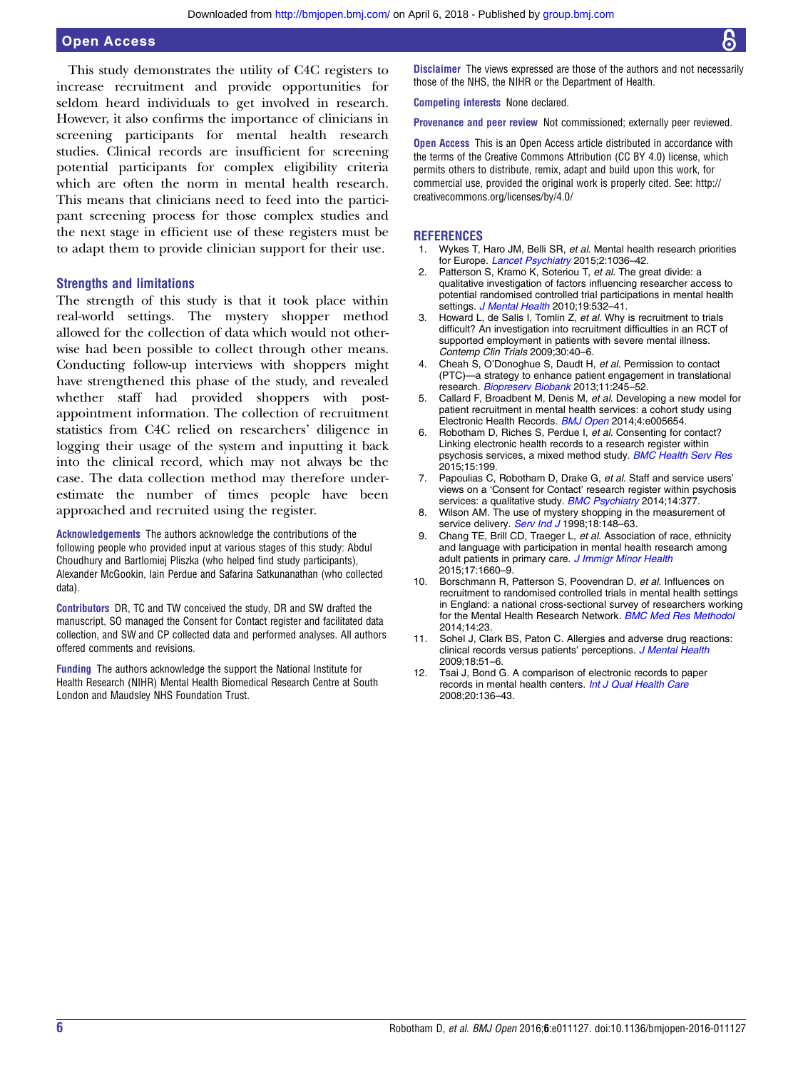<span id="page-5-0"></span>This study demonstrates the utility of C4C registers to increase recruitment and provide opportunities for seldom heard individuals to get involved in research. However, it also confirms the importance of clinicians in screening participants for mental health research studies. Clinical records are insufficient for screening potential participants for complex eligibility criteria which are often the norm in mental health research. This means that clinicians need to feed into the participant screening process for those complex studies and the next stage in efficient use of these registers must be to adapt them to provide clinician support for their use.

#### Strengths and limitations

The strength of this study is that it took place within real-world settings. The mystery shopper method allowed for the collection of data which would not otherwise had been possible to collect through other means. Conducting follow-up interviews with shoppers might have strengthened this phase of the study, and revealed whether staff had provided shoppers with postappointment information. The collection of recruitment statistics from C4C relied on researchers' diligence in logging their usage of the system and inputting it back into the clinical record, which may not always be the case. The data collection method may therefore underestimate the number of times people have been approached and recruited using the register.

Acknowledgements The authors acknowledge the contributions of the following people who provided input at various stages of this study: Abdul Choudhury and Bartlomiej Pliszka (who helped find study participants), Alexander McGookin, Iain Perdue and Safarina Satkunanathan (who collected data).

Contributors DR, TC and TW conceived the study, DR and SW drafted the manuscript, SO managed the Consent for Contact register and facilitated data collection, and SW and CP collected data and performed analyses. All authors offered comments and revisions.

Funding The authors acknowledge the support the National Institute for Health Research (NIHR) Mental Health Biomedical Research Centre at South London and Maudsley NHS Foundation Trust.

**Disclaimer** The views expressed are those of the authors and not necessarily those of the NHS, the NIHR or the Department of Health.

Competing interests None declared.

Provenance and peer review Not commissioned; externally peer reviewed.

Open Access This is an Open Access article distributed in accordance with the terms of the Creative Commons Attribution (CC BY 4.0) license, which permits others to distribute, remix, adapt and build upon this work, for commercial use, provided the original work is properly cited. See: [http://](http://creativecommons.org/licenses/by/4.0/) [creativecommons.org/licenses/by/4.0/](http://creativecommons.org/licenses/by/4.0/)

#### **REFERENCES**

- 1. Wykes T, Haro JM, Belli SR, et al. Mental health research priorities for Europe. [Lancet Psychiatry](http://dx.doi.org/10.1016/S2215-0366(15)00332-6) 2015;2:1036–42.
- 2. Patterson S, Kramo K, Soteriou T, et al. The great divide: a qualitative investigation of factors influencing researcher access to potential randomised controlled trial participations in mental health settings. *[J Mental Health](http://dx.doi.org/10.3109/09638237.2010.520367)* 2010;19:532-41.
- 3. Howard L, de Salis I, Tomlin Z, et al. Why is recruitment to trials difficult? An investigation into recruitment difficulties in an RCT of supported employment in patients with severe mental illness. Contemp Clin Trials 2009;30:40–6.
- 4. Cheah S, O'Donoghue S, Daudt H, et al. Permission to contact (PTC)—a strategy to enhance patient engagement in translational research. [Biopreserv Biobank](http://dx.doi.org/10.1089/bio.2013.0023) 2013;11:245–52.
- 5. Callard F, Broadbent M, Denis M, et al. Developing a new model for patient recruitment in mental health services: a cohort study using .<br>Electronic Health Records. **[BMJ Open](http://dx.doi.org/10.1136/bmjopen-2014-005654)** 2014;4:e005654.
- 6. Robotham D, Riches S, Perdue I, et al. Consenting for contact? Linking electronic health records to a research register within psychosis services, a mixed method study. [BMC Health Serv Res](http://dx.doi.org/10.1186/s12913-015-0858-4) 2015;15:199.
- 7. Papoulias C, Robotham D, Drake G, et al. Staff and service users' views on a 'Consent for Contact' research register within psychosis services: a qualitative study. [BMC Psychiatry](http://dx.doi.org/10.1186/s12888-014-0377-6) 2014;14:377.
- 8. Wilson AM. The use of mystery shopping in the measurement of service delivery. [Serv Ind J](http://dx.doi.org/10.1080/02642069800000037) 1998;18:148-63.
- 9. Chang TE, Brill CD, Traeger L, et al. Association of race, ethnicity and language with participation in mental health research among adult patients in primary care. [J Immigr Minor Health](http://dx.doi.org/10.1007/s10903-014-0130-8) 2015;17:1660–9.
- 10. Borschmann R, Patterson S, Poovendran D, et al. Influences on recruitment to randomised controlled trials in mental health settings in England: a national cross-sectional survey of researchers working for the Mental Health Research Network. [BMC Med Res Methodol](http://dx.doi.org/10.1186/1471-2288-14-23) 2014;14:23.
- 11. Sohel J, Clark BS, Paton C. Allergies and adverse drug reactions: clinical records versus patients' perceptions. [J Mental Health](http://dx.doi.org/10.1080/09638230701530218) 2009;18:51–6.
- 12. Tsai J, Bond G. A comparison of electronic records to paper records in mental health centers. [Int J Qual Health Care](http://dx.doi.org/10.1093/intqhc/mzm064) 2008;20:136–43.